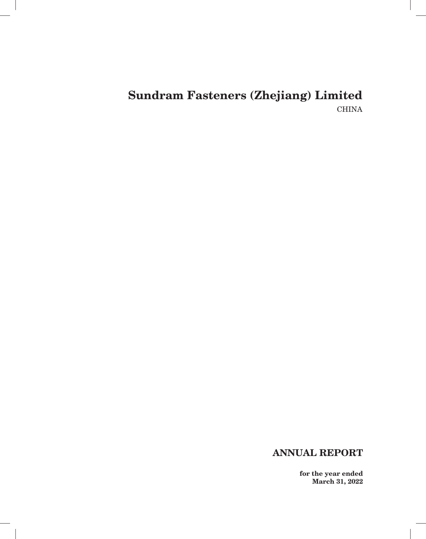$\overline{\phantom{a}}$ 

# **ANNUAL REPORT**

**for the year ended March 31, 2022**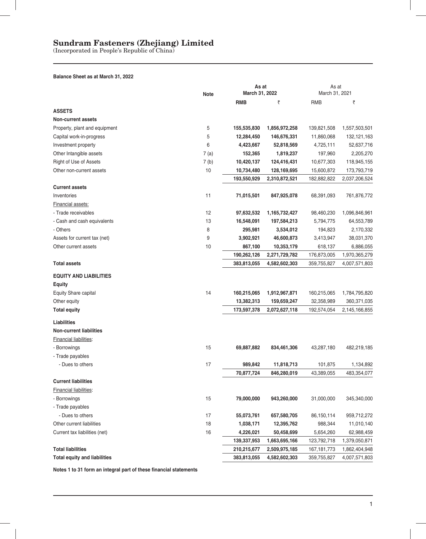(Incorporated in People's Republic of China)

### **Balance Sheet as at March 31, 2022**

|                                     | <b>Note</b> | As at<br>March 31, 2022 |               | As at<br>March 31, 2021 |               |
|-------------------------------------|-------------|-------------------------|---------------|-------------------------|---------------|
|                                     |             | <b>RMB</b>              | ₹             | <b>RMB</b>              | ₹             |
| <b>ASSETS</b>                       |             |                         |               |                         |               |
| <b>Non-current assets</b>           |             |                         |               |                         |               |
| Property, plant and equipment       | 5           | 155,535,830             | 1,856,972,258 | 139,821,508             | 1,557,503,501 |
| Capital work-in-progress            | 5           | 12,284,450              | 146,676,331   | 11,860,068              | 132,121,163   |
| Investment property                 | 6           | 4,423,667               | 52,818,569    | 4,725,111               | 52,637,716    |
| Other Intangible assets             | 7(a)        | 152,365                 | 1,819,237     | 197,960                 | 2,205,270     |
| Right of Use of Assets              | 7(b)        | 10,420,137              | 124,416,431   | 10,677,303              | 118,945,155   |
| Other non-current assets            | 10          | 10,734,480              | 128,169,695   | 15,600,872              | 173,793,719   |
|                                     |             | 193,550,929             | 2,310,872,521 | 182,882,822             | 2,037,206,524 |
| <b>Current assets</b>               |             |                         |               |                         |               |
| Inventories                         | 11          | 71,015,501              | 847,925,078   | 68,391,093              | 761,876,772   |
| <b>Financial assets:</b>            |             |                         |               |                         |               |
| - Trade receivables                 | 12          | 97,632,532              | 1,165,732,427 | 98,460,230              | 1,096,846,961 |
| - Cash and cash equivalents         | 13          | 16,548,091              | 197,584,213   | 5,794,775               | 64,553,789    |
| - Others                            | 8           | 295,981                 | 3,534,012     | 194,823                 | 2,170,332     |
| Assets for current tax (net)        | 9           | 3,902,921               | 46,600,873    | 3,413,947               | 38,031,370    |
| Other current assets                | 10          | 867,100                 | 10,353,179    | 618,137                 | 6,886,055     |
|                                     |             | 190,262,126             | 2,271,729,782 | 176,873,005             | 1,970,365,279 |
| <b>Total assets</b>                 |             | 383,813,055             | 4,582,602,303 | 359,755,827             | 4,007,571,803 |
| <b>EQUITY AND LIABILITIES</b>       |             |                         |               |                         |               |
| <b>Equity</b>                       |             |                         |               |                         |               |
| Equity Share capital                | 14          | 160,215,065             | 1,912,967,871 | 160,215,065             | 1,784,795,820 |
| Other equity                        |             | 13,382,313              | 159,659,247   | 32,358,989              | 360,371,035   |
| <b>Total equity</b>                 |             | 173,597,378             | 2,072,627,118 | 192,574,054             | 2,145,166,855 |
| Liabilities                         |             |                         |               |                         |               |
| <b>Non-current liabilities</b>      |             |                         |               |                         |               |
| Financial liabilities:              |             |                         |               |                         |               |
| - Borrowings                        | 15          | 69,887,882              | 834,461,306   | 43,287,180              | 482,219,185   |
| - Trade payables                    |             |                         |               |                         |               |
| - Dues to others                    | 17          | 989,842                 | 11,818,713    | 101,875                 | 1,134,892     |
|                                     |             | 70,877,724              | 846,280,019   | 43,389,055              | 483,354,077   |
| <b>Current liabilities</b>          |             |                         |               |                         |               |
| Financial liabilities:              |             |                         |               |                         |               |
| - Borrowings                        | 15          | 79,000,000              | 943,260,000   | 31,000,000              | 345,340,000   |
| - Trade payables                    |             |                         |               |                         |               |
| - Dues to others                    | 17          | 55,073,761              | 657,580,705   | 86,150,114              | 959,712,272   |
| Other current liabilities           | 18          | 1,038,171               | 12,395,762    | 988,344                 | 11,010,140    |
| Current tax liabilities (net)       | 16          | 4,226,021               | 50,458,699    | 5,654,260               | 62,988,459    |
|                                     |             | 139,337,953             | 1,663,695,166 | 123,792,718             | 1,379,050,871 |
| <b>Total liabilities</b>            |             | 210,215,677             | 2,509,975,185 | 167, 181, 773           | 1,862,404,948 |
| <b>Total equity and liabilities</b> |             | 383,813,055             | 4,582,602,303 | 359,755,827             | 4,007,571,803 |
|                                     |             |                         |               |                         |               |

Notes 1 to 31 form an integral part of these financial statements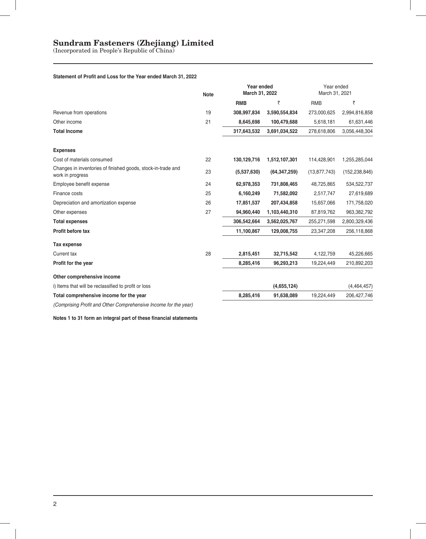(Incorporated in People's Republic of China)

#### **Statement of Profit and Loss for the Year ended March 31, 2022**

|                                                                                  | <b>Note</b> | Year ended<br>March 31, 2022 |                | Year ended<br>March 31, 2021 |                 |
|----------------------------------------------------------------------------------|-------------|------------------------------|----------------|------------------------------|-----------------|
|                                                                                  | 19          | <b>RMB</b>                   | ₹              | <b>RMB</b>                   | ₹               |
| Revenue from operations                                                          |             | 308,997,834                  | 3,590,554,834  | 273,000,625                  | 2,994,816,858   |
| Other income                                                                     | 21          | 8,645,698                    | 100,479,688    | 5,618,181                    | 61,631,446      |
| <b>Total Income</b>                                                              |             | 317,643,532                  | 3,691,034,522  | 278,618,806                  | 3,056,448,304   |
| <b>Expenses</b>                                                                  |             |                              |                |                              |                 |
| Cost of materials consumed                                                       | 22          | 130,129,716                  | 1,512,107,301  | 114,428,901                  | 1,255,285,044   |
| Changes in inventories of finished goods, stock-in-trade and<br>work in progress | 23          | (5,537,630)                  | (64, 347, 259) | (13, 877, 743)               | (152, 238, 846) |
| Employee benefit expense                                                         | 24          | 62,978,353                   | 731,808,465    | 48,725,865                   | 534,522,737     |
| Finance costs                                                                    | 25          | 6,160,249                    | 71,582,092     | 2,517,747                    | 27,619,689      |
| Depreciation and amortization expense                                            | 26          | 17,851,537                   | 207,434,858    | 15,657,066                   | 171,758,020     |
| Other expenses                                                                   | 27          | 94,960,440                   | 1,103,440,310  | 87,819,762                   | 963,382,792     |
| <b>Total expenses</b>                                                            |             | 306.542.664                  | 3,562,025,767  | 255,271,598                  | 2,800,329,436   |
| Profit before tax                                                                |             | 11,100,867                   | 129,008,755    | 23,347,208                   | 256,118,868     |
| Tax expense                                                                      |             |                              |                |                              |                 |
| Current tax                                                                      | 28          | 2,815,451                    | 32,715,542     | 4,122,759                    | 45,226,665      |
| Profit for the year                                                              |             | 8,285,416                    | 96,293,213     | 19,224,449                   | 210,892,203     |
| Other comprehensive income                                                       |             |                              |                |                              |                 |
| i) Items that will be reclassified to profit or loss                             |             |                              | (4,655,124)    |                              | (4,464,457)     |
| Total comprehensive income for the year                                          |             | 8,285,416                    | 91,638,089     | 19,224,449                   | 206, 427, 746   |
| $\alpha$ . But $\alpha$ and $\alpha$ is a set of $\alpha$                        |             |                              |                |                              |                 |

*(Comprising Profi t and Other Comprehensive Income for the year)*

**Notes 1 to 31 form an integral part of these financial statements**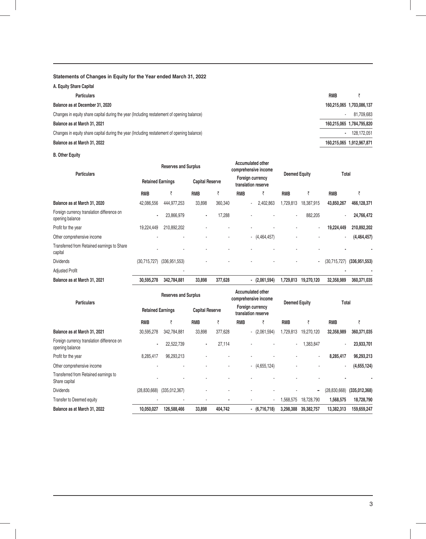### **Statements of Changes in Equity for the Year ended March 31, 2022**

| A. Equity Share Capital                                                                    |                          |                           |
|--------------------------------------------------------------------------------------------|--------------------------|---------------------------|
| <b>Particulars</b>                                                                         | <b>RMB</b>               |                           |
| Balance as at December 31, 2020                                                            |                          | 160,215,065 1,703,086,137 |
| Changes in equity share capital during the year (Including restatement of opening balance) | $\overline{\phantom{a}}$ | 81,709,683                |
| Balance as at March 31, 2021                                                               |                          | 160,215,065 1,784,795,820 |
| Changes in equity share capital during the year (Including restatement of opening balance) |                          | 128.172.051               |
| Balance as at March 31, 2022                                                               |                          | 160,215,065 1,912,967,871 |
|                                                                                            |                          |                           |

 $\overline{a}$ 

**B. Other Equity**

| <b>Particulars</b>                                            |                          | <b>Reserves and Surplus</b> |                        |         |            | <b>Accumulated other</b><br>comprehensive income |                | Total<br><b>Deemed Equity</b> |              |                 |
|---------------------------------------------------------------|--------------------------|-----------------------------|------------------------|---------|------------|--------------------------------------------------|----------------|-------------------------------|--------------|-----------------|
|                                                               | <b>Retained Earnings</b> |                             | <b>Capital Reserve</b> |         |            | Foreign currency<br>translation reserve          |                |                               |              |                 |
|                                                               | <b>RMB</b>               | ₹                           | <b>RMB</b>             | ₹       | <b>RMB</b> | ₹                                                | <b>RMB</b>     | ₹                             | <b>RMB</b>   | ₹               |
| Balance as at March 31, 2020                                  | 42,086,556               | 444,977,253                 | 33,898                 | 360,340 |            | 2,402,863<br>٠.                                  | 1,729,813      | 18,387,915                    | 43,850,267   | 466,128,371     |
| Foreign currency translation difference on<br>opening balance |                          | 23,866,979                  | ٠                      | 17,288  |            |                                                  | $\blacksquare$ | 882,205                       | $\sim$       | 24,766,472      |
| Profit for the year                                           | 19,224,449               | 210,892,202                 |                        |         |            |                                                  |                | ۰                             | 19,224,449   | 210,892,202     |
| Other comprehensive income                                    |                          |                             |                        |         |            | $-$ (4,464,457)                                  |                |                               | $\sim$       | (4,464,457)     |
| Transferred from Retained earnings to Share<br>capital        |                          |                             |                        |         |            |                                                  |                |                               |              |                 |
| <b>Dividends</b>                                              | (30,715,727)             | (336,951,553)               |                        |         |            |                                                  |                |                               | (30,715,727) | (336, 951, 553) |
| <b>Adjusted Profit</b>                                        |                          |                             |                        |         |            |                                                  |                |                               |              |                 |
| Balance as at March 31, 2021                                  | 30,595,278               | 342,784,881                 | 33,898                 | 377,628 |            | (2,061,594)<br>$\blacksquare$                    | 1,729,813      | 19,270,120                    | 32,358,989   | 360,371,035     |

| <b>Particulars</b>                                            |                          | <b>Reserves and Surplus</b> |                        |         |            | <b>Accumulated other</b><br>comprehensive income |            | <b>Deemed Equity</b><br>Total |                |               |
|---------------------------------------------------------------|--------------------------|-----------------------------|------------------------|---------|------------|--------------------------------------------------|------------|-------------------------------|----------------|---------------|
|                                                               | <b>Retained Earnings</b> |                             | <b>Capital Reserve</b> |         |            | Foreign currency<br>translation reserve          |            |                               |                |               |
|                                                               | <b>RMB</b>               | ₹                           | <b>RMB</b>             | ₹       | <b>RMB</b> | ₹                                                | <b>RMB</b> | ₹                             | <b>RMB</b>     | ₹             |
| Balance as at March 31, 2021                                  | 30,595,278               | 342.784.881                 | 33,898                 | 377,628 |            | (2,061,594)<br>$\sim$                            | 1,729,813  | 19,270,120                    | 32,358,989     | 360,371,035   |
| Foreign currency translation difference on<br>opening balance | ۰                        | 22,522,739                  | $\blacksquare$         | 27,114  |            |                                                  | ٠          | 1,383,847                     |                | 23,933,701    |
| Profit for the year                                           | 8,285,417                | 96,293,213                  |                        |         |            |                                                  |            |                               | 8,285,417      | 96,293,213    |
| Other comprehensive income                                    |                          | ٠                           |                        |         |            | (4,655,124)                                      |            |                               |                | (4,655,124)   |
| Transferred from Retained earnings to<br>Share capital        |                          |                             |                        |         |            |                                                  |            |                               |                |               |
| <b>Dividends</b>                                              | (28, 830, 668)           | (335,012,367)               |                        |         |            |                                                  |            |                               | (28, 830, 668) | (335,012,368) |
| Transfer to Deemed equity                                     |                          |                             |                        |         |            | $\overline{\phantom{a}}$                         | 1,568,575  | 18,728,790                    | 1,568,575      | 18,728,790    |
| Balance as at March 31, 2022                                  | 10,050,027               | 126,588,466                 | 33,898                 | 404,742 |            | $-$ (6,716,718)                                  | 3,298,388  | 39,382,757                    | 13,382,313     | 159,659,247   |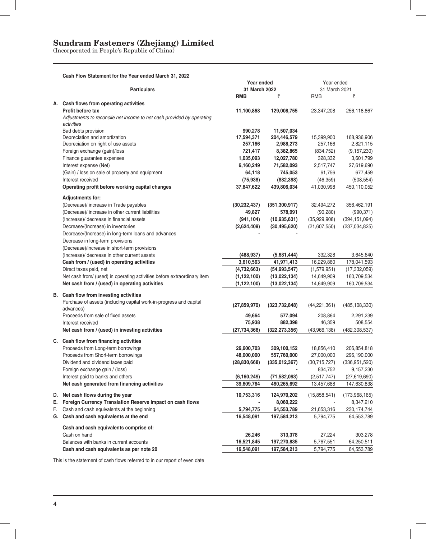(Incorporated in People's Republic of China)

|    | Cash Flow Statement for the Year ended March 31, 2022                                   |                             |                 |                             |                       |
|----|-----------------------------------------------------------------------------------------|-----------------------------|-----------------|-----------------------------|-----------------------|
|    | <b>Particulars</b>                                                                      | Year ended<br>31 March 2022 |                 | Year ended<br>31 March 2021 |                       |
|    |                                                                                         | <b>RMB</b>                  | ₹               | <b>RMB</b>                  | ₹                     |
|    | A. Cash flows from operating activities                                                 |                             |                 |                             |                       |
|    | Profit before tax                                                                       | 11,100,868                  | 129,008,755     | 23,347,208                  | 256,118,867           |
|    | Adjustments to reconcile net income to net cash provided by operating<br>activities     |                             |                 |                             |                       |
|    | Bad debts provision                                                                     | 990,278                     | 11,507,034      |                             |                       |
|    | Depreciation and amortization                                                           | 17,594,371                  | 204,446,579     | 15,399,900                  | 168,936,906           |
|    | Depreciation on right of use assets                                                     | 257,166                     | 2,988,273       | 257,166                     | 2,821,115             |
|    | Foreign exchange (gain)/loss                                                            | 721,417                     | 8,382,865       | (834, 752)                  | (9, 157, 230)         |
|    | Finance guarantee expenses                                                              | 1,035,093                   | 12,027,780      | 328,332                     | 3,601,799             |
|    | Interest expense (Net)                                                                  | 6,160,249                   | 71,582,093      | 2,517,747                   | 27,619,690            |
|    | (Gain) / loss on sale of property and equipment                                         | 64,118                      | 745,053         | 61,756                      | 677,459               |
|    | Interest received                                                                       | (75, 938)                   | (882, 398)      | (46, 359)                   | (508, 554)            |
|    | Operating profit before working capital changes                                         | 37,847,622                  | 439,806,034     | 41,030,998                  | 450,110,052           |
|    | <b>Adjustments for:</b>                                                                 |                             |                 |                             |                       |
|    | (Decrease)/ increase in Trade payables                                                  | (30, 232, 437)              | (351, 300, 917) | 32,494,272                  | 356,462,191           |
|    | (Decrease)/ increase in other current liabilities                                       | 49,827                      | 578,991         | (90, 280)                   | (990, 371)            |
|    | (Increase)/ decrease in financial assets                                                | (941, 104)                  | (10, 935, 631)  | (35,929,908)                | (394, 151, 094)       |
|    | Decrease/(Increase) in inventories                                                      | (2,624,408)                 | (30, 495, 620)  | (21,607,550)                | (237, 034, 825)       |
|    | Decrease/(Increase) in long-term loans and advances<br>Decrease in long-term provisions |                             |                 |                             |                       |
|    | (Decrease)/increase in short-term provisions                                            |                             |                 |                             |                       |
|    | (Increase)/ decrease in other current assets                                            | (488, 937)                  | (5,681,444)     | 332,328                     | 3,645,640             |
|    | Cash from / (used) in operating activities                                              | 3,610,563                   | 41,971,413      | 16,229,860                  | 178,041,593           |
|    | Direct taxes paid, net                                                                  | (4,732,663)                 | (54, 993, 547)  | (1,579,951)                 | (17, 332, 059)        |
|    | Net cash from/ (used) in operating activities before extraordinary item                 | (1, 122, 100)               | (13,022,134)    | 14,649,909                  | 160,709,534           |
|    | Net cash from / (used) in operating activities                                          | (1, 122, 100)               | (13,022,134)    | 14,649,909                  | 160,709,534           |
|    |                                                                                         |                             |                 |                             |                       |
|    | B. Cash flow from investing activities                                                  |                             |                 |                             |                       |
|    | Purchase of assets (including capital work-in-progress and capital<br>advances)         | (27, 859, 970)              | (323, 732, 848) | (44, 221, 361)              | (485, 108, 330)       |
|    | Proceeds from sale of fixed assets                                                      | 49,664                      | 577,094         | 208,864                     | 2,291,239             |
|    | Interest received                                                                       | 75,938                      | 882,398         | 46,359                      | 508,554               |
|    | Net cash from / (used) in investing activities                                          | (27, 734, 368)              | (322, 273, 356) | (43,966,138)                | (482, 308, 537)       |
|    | C. Cash flow from financing activities                                                  |                             |                 |                             |                       |
|    | Proceeds from Long-term borrowings                                                      | 26,600,703                  | 309,100,152     | 18,856,410                  | 206,854,818           |
|    | Proceeds from Short-term borrowings                                                     | 48,000,000                  | 557,760,000     | 27,000,000                  | 296,190,000           |
|    | Dividend and dividend taxes paid                                                        | (28, 830, 668)              | (335,012,367)   | (30, 715, 727)              | (336, 951, 520)       |
|    | Foreign exchange gain / (loss)                                                          |                             |                 | 834,752                     | 9,157,230             |
|    | Interest paid to banks and others                                                       | (6, 160, 249)               | (71, 582, 093)  | (2,517,747)                 | (27,619,690)          |
|    | Net cash generated from financing activities                                            | 39,609,784                  | 460,265,692     | 13,457,688                  | 147,630,838           |
| D. | Net cash flows during the year                                                          | 10,753,316                  | 124,970,202     | (15,858,541)                | (173,968,165)         |
| Е. | Foreign Currency Translation Reserve Impact on cash flows                               |                             | 8,060,222       |                             | 8,347,210             |
| F. | Cash and cash equivalents at the beginning                                              | 5,794,775                   | 64,553,789      | 21,653,316                  | 230, 174, 744         |
|    | G. Cash and cash equivalents at the end                                                 | 16,548,091                  | 197,584,213     | 5,794,775                   | 64,553,789            |
|    |                                                                                         |                             |                 |                             |                       |
|    | Cash and cash equivalents comprise of:<br>Cash on hand                                  | 26,246                      | 313,378         |                             |                       |
|    | Balances with banks in current accounts                                                 | 16,521,845                  | 197,270,835     | 27,224<br>5,767,551         | 303,278<br>64,250,511 |
|    | Cash and cash equivalents as per note 20                                                | 16,548,091                  | 197,584,213     | 5,794,775                   | 64,553,789            |
|    |                                                                                         |                             |                 |                             |                       |

This is the statement of cash flows referred to in our report of even date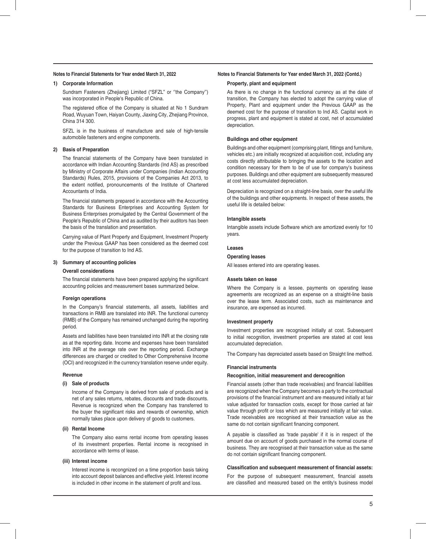#### **Notes to Financial Statements for Year ended March 31, 2022**

#### **1) Corporate Information**

 Sundram Fasteners (Zhejiang) Limited ("SFZL" or ''the Company'') was incorporated in People's Republic of China.

The registered office of the Company is situated at No 1 Sundram Road, Wuyuan Town, Haiyan County, Jiaxing City, Zhejiang Province, China 314 300.

 SFZL is in the business of manufacture and sale of high-tensile automobile fasteners and engine components.

#### **2) Basis of Preparation**

The financial statements of the Company have been translated in accordance with Indian Accounting Standards (Ind AS) as prescribed by Ministry of Corporate Affairs under Companies (Indian Accounting Standards) Rules, 2015, provisions of the Companies Act 2013, to the extent notified, pronouncements of the Institute of Chartered Accountants of India.

The financial statements prepared in accordance with the Accounting Standards for Business Enterprises and Accounting System for Business Enterprises promulgated by the Central Government of the People's Republic of China and as audited by their auditors has been the basis of the translation and presentation.

 Carrying value of Plant Property and Equipment, Investment Property under the Previous GAAP has been considered as the deemed cost for the purpose of transition to Ind AS.

#### **3) Summary of accounting policies**

#### **Overall considerations**

The financial statements have been prepared applying the significant accounting policies and measurement bases summarized below.

#### **Foreign operations**

In the Company's financial statements, all assets, liabilities and transactions in RMB are translated into INR. The functional currency (RMB) of the Company has remained unchanged during the reporting period.

 Assets and liabilities have been translated into INR at the closing rate as at the reporting date. Income and expenses have been translated into INR at the average rate over the reporting period. Exchange differences are charged or credited to Other Comprehensive Income (OCI) and recognized in the currency translation reserve under equity.

#### **Revenue**

#### **(i) Sale of products**

 Income of the Company is derived from sale of products and is net of any sales returns, rebates, discounts and trade discounts. Revenue is recognized when the Company has transferred to the buyer the significant risks and rewards of ownership, which normally takes place upon delivery of goods to customers.

#### **(ii) Rental Income**

 The Company also earns rental income from operating leases of its investment properties. Rental income is recognised in accordance with terms of lease.

#### **(iii) Interest income**

 Interest income is recongnized on a time proportion basis taking into account deposit balances and effective yield. Interest income is included in other income in the statement of profit and loss.

#### **Notes to Financial Statements for Year ended March 31, 2022 (Contd.)**

#### **Property, plant and equipment**

 As there is no change in the functional currency as at the date of transition, the Company has elected to adopt the carrying value of Property, Plant and equipment under the Previous GAAP as the deemed cost for the purpose of transition to Ind AS. Capital work in progress, plant and equipment is stated at cost, net of accumulated depreciation.

#### **Buildings and other equipment**

Buildings and other equipment (comprising plant, fittings and furniture, vehicles etc.) are initially recognized at acquisition cost, including any costs directly attributable to bringing the assets to the location and condition necessary for them to be of use for company's business purposes. Buildings and other equipment are subsequently measured at cost less accumulated depreciation.

 Depreciation is recognized on a straight-line basis, over the useful life of the buildings and other equipments. In respect of these assets, the useful life is detailed below:

#### **Intangible assets**

 Intangible assets include Software which are amortized evenly for 10 years.

#### **Leases**

#### **Operating leases**

All leases entered into are operating leases.

#### **Assets taken on lease**

 Where the Company is a lessee, payments on operating lease agreements are recognized as an expense on a straight-line basis over the lease term. Associated costs, such as maintenance and insurance, are expensed as incurred.

#### **Investment property**

 Investment properties are recognised initially at cost. Subsequent to initial recognition, investment properties are stated at cost less accumulated depreciation.

The Company has depreciated assets based on Straight line method.

#### **Financial instruments**

#### **Recognition, initial measurement and derecognition**

Financial assets (other than trade receivables) and financial liabilities are recognized when the Company becomes a party to the contractual provisions of the financial instrument and are measured initially at fair value adjusted for transaction costs, except for those carried at fair value through profit or loss which are measured initially at fair value. Trade receivables are recognised at their transaction value as the same do not contain significant financing component.

A payable is classified as 'trade payable' if it is in respect of the amount due on account of goods purchased in the normal course of business. They are recognised at their transaction value as the same do not contain significant financing component.

#### **Classification and subsequent measurement of financial assets:**

For the purpose of subsequent measurement, financial assets are classified and measured based on the entity's business model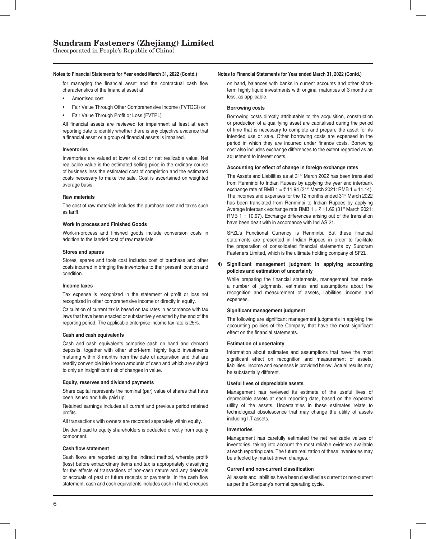(Incorporated in People's Republic of China)

#### **Notes to Financial Statements for Year ended March 31, 2022 (Contd.) Notes to Financial Statements for Year ended March 31, 2022 (Contd.)**

for managing the financial asset and the contractual cash flow characteristics of the financial asset at:

- Amortised cost
- Fair Value Through Other Comprehensive Income (FVTOCI) or
- Fair Value Through Profit or Loss (FVTPL)

All financial assets are reviewed for impairment at least at each reporting date to identify whether there is any objective evidence that a financial asset or a group of financial assets is impaired.

#### **Inventories**

 Inventories are valued at lower of cost or net realizable value. Net realisable value is the estimated selling price in the ordinary course of business less the estimated cost of completion and the estimated costs necessary to make the sale. Cost is ascertained on weighted average basis.

#### **Raw materials**

 The cost of raw materials includes the purchase cost and taxes such as tariff.

#### **Work in process and Finished Goods**

Work-in-process and finished goods include conversion costs in addition to the landed cost of raw materials.

#### **Stores and spares**

 Stores, spares and tools cost includes cost of purchase and other costs incurred in bringing the inventories to their present location and condition.

#### **Income taxes**

Tax expense is recognized in the statement of profit or loss not recognized in other comprehensive income or directly in equity.

 Calculation of current tax is based on tax rates in accordance with tax laws that have been enacted or substantively enacted by the end of the reporting period. The applicable enterprise income tax rate is 25%.

#### **Cash and cash equivalents**

 Cash and cash equivalents comprise cash on hand and demand deposits, together with other short-term, highly liquid investments maturing within 3 months from the date of acquisition and that are readily convertible into known amounts of cash and which are subject to only an insignificant risk of changes in value.

#### **Equity, reserves and dividend payments**

 Share capital represents the nominal (par) value of shares that have been issued and fully paid up.

 Retained earnings includes all current and previous period retained profits

All transactions with owners are recorded separately within equity.

 Dividend paid to equity shareholders is deducted directly from equity component.

#### **Cash flow statement**

Cash flows are reported using the indirect method, whereby profit/ (loss) before extraordinary items and tax is appropriately classifying for the effects of transactions of non-cash nature and any deferrals or accruals of past or future receipts or payments. In the cash flow statement, cash and cash equivalents includes cash in hand, cheques

on hand, balances with banks in current accounts and other shortterm highly liquid investments with original maturities of 3 months or less, as applicable.

#### **Borrowing costs**

 Borrowing costs directly attributable to the acquisition, construction or production of a qualifying asset are capitalised during the period of time that is necessary to complete and prepare the asset for its intended use or sale. Other borrowing costs are expensed in the period in which they are incurred under finance costs. Borrowing cost also includes exchange differences to the extent regarded as an adjustment to interest costs.

### **Accounting for effect of change in foreign exchange rates**

The Assets and Liabilities as at 31<sup>st</sup> March 2022 has been translated from Renminbi to Indian Rupees by applying the year end interbank exchange rate of RMB  $1 = ₹ 11.94 (31<sup>st</sup> March 2021: RMB 1 = 11.14).$ The incomes and expenses for the 12 months ended 31<sup>st</sup> March 2022 has been translated from Renminbi to Indian Rupees by applying Average interbank exchange rate RMB  $1 = ₹ 11.62$  (31<sup>st</sup> March 2021: RMB  $1 = 10.97$ ). Exchange differences arising out of the translation have been dealt with in accordance with Ind AS 21.

SFZL's Functional Currency is Renminbi. But these financial statements are presented in Indian Rupees in order to facilitate the preparation of consolidated financial statements by Sundram Fasteners Limited, which is the ultimate holding company of SFZL.

#### 4) Significant management judgment in applying accounting **policies and estimation of uncertainty**

While preparing the financial statements, management has made a number of judgments, estimates and assumptions about the recognition and measurement of assets, liabilities, income and expenses.

#### **Significant management judgment**

The following are significant management judgments in applying the accounting policies of the Company that have the most significant effect on the financial statements.

#### **Estimation of uncertainty**

 Information about estimates and assumptions that have the most significant effect on recognition and measurement of assets, liabilities, income and expenses is provided below. Actual results may be substantially different.

#### **Useful lives of depreciable assets**

 Management has reviewed its estimate of the useful lives of depreciable assets at each reporting date, based on the expected utility of the assets. Uncertainties in these estimates relate to technological obsolescence that may change the utility of assets including I.T assets.

#### **Inventories**

 Management has carefully estimated the net realizable values of inventories, taking into account the most reliable evidence available at each reporting date. The future realization of these inventories may be affected by market-driven changes.

#### **Current and non-current classification**

All assets and liabilities have been classified as current or non-current as per the Company's normal operating cycle.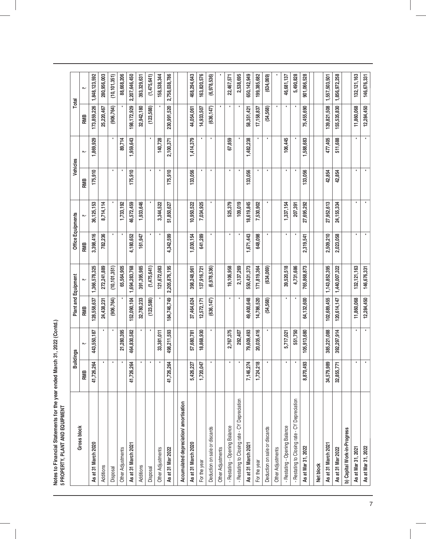| Notes to Financial Statements for the year ended March 31, 2022 (Conto | 5 PROPERTY, PLANT AND EQUIPMENT |
|------------------------------------------------------------------------|---------------------------------|
|                                                                        |                                 |
|                                                                        |                                 |

|                                               |                      | <b>Buildings</b> |             |                     |           | Office Equipments |         | Vehicles     | Total         |                |
|-----------------------------------------------|----------------------|------------------|-------------|---------------------|-----------|-------------------|---------|--------------|---------------|----------------|
| <b>Gross block</b>                            |                      |                  |             | Plant and Equipment |           |                   |         |              |               |                |
|                                               | RMB                  |                  | RMB         |                     | RMB       |                   | RMB     | ₩            | RMB           | $\overline{m}$ |
| As at 31 March 2020                           | S4<br>41,726,26      | 443,550,187      | 128,558,637 | 1,366,578,325       | 3,398,416 | 36, 125, 153      | 175,910 | 1,869,929    | 173,859,226   | 1,848,123,592  |
| Additions                                     |                      |                  | 24,438,231  | 272,241,889         | 782,236   | 8,714,114         |         |              | 25,220,467    | 280,956,003    |
| Disposal                                      |                      |                  | (906, 764)  | (10, 101, 351)      |           |                   | ٠       |              | (906, 764)    | (10, 101, 351) |
| Other Adjustments                             |                      | 21,280,395       |             | 65,564,905          |           | 1,733,192         |         | 89,714       |               | 88,668,206     |
| As at 31 March 2021                           | 2<br>41,726,26       | 464,830,582      | 152,090,104 | 1,694,283,768       | 4,180,652 | 46,572,459        | 175,910 | 1,959,643    | 198, 172, 929 | 2,207,646,450  |
| <b>Additions</b>                              |                      |                  | 32,780,233  | 391,395,985         | 161,947   | 1,933,646         |         |              | 32,942,180    | 393,329,631    |
| Disposal                                      |                      |                  | (123,588)   | (1,475,641)         |           |                   | ٠       | ٠            | (123, 588)    | (1,475,641)    |
| Other Adjustments                             |                      | 33,381,011       |             | 121,672,083         |           | 3,344,522         |         | 140,728      |               | 158,538,344    |
| As at 31 Mar 2022                             | <b>Z</b><br>41,726,2 | 498,211,593      | 184,746,749 | 2,205,876,195       | 4,342,599 | 51,850,627        | 175,910 | 2,100,371    | 230,991,520   | 2,758,038,786  |
| Accumulated depreciation/ amortisation        |                      |                  |             |                     |           |                   |         |              |               |                |
| As at 31 March 2020                           | 5,426,227            | 57,680,781       | 37,464,624  | 398,248,961         | 1,030,154 | 10,950,522        | 133,056 | 1,414,379    | 44,054,061    | 468,294,643    |
| For the year                                  | 1,720,047            | 18,868,930       | 12,572,171  | 137,916,721         | 641,289   | 7,034,925         |         |              | 14,933,507    | 163,820,576    |
| Deduction on sale or discards                 |                      |                  | (636, 147)  | (6,978,536)         |           |                   | ٠       | ٠            | (636, 147)    | (6,978,536)    |
| <b>Other Adjustments</b>                      |                      |                  |             |                     |           |                   |         |              |               |                |
| - Restating - Opening Balance                 |                      | 2,767,375        |             | 19,106,958          |           | 525,379           | ٠       | 67,859       | ٠             | 22,467,571     |
| - Restating to Closing rate - CY Depreciation |                      | 292,407          |             | 2,137,269           |           | 109,019           |         |              | ٠             | 2,538,695      |
| As at 31 March 2021                           | 74<br>7,146,2        | 79,609,493       | 49,400,648  | 550,431,373         | 1,671,443 | 18,619,845        | 133,056 | 1,482,238    | 58,351,421    | 650, 142, 949  |
| For the year                                  | 1,724,218            | 20,035,416       | 14,786,520  | 171,819,364         | 648,098   | 7,530,902         |         |              | 17,158,837    | 199,385,682    |
| Deduction on sale or discards                 | ×                    |                  | (54, 568)   | (634,069)           |           |                   | ٠       | ٠            | (54, 568)     | (634, 069)     |
| Other Adjustments                             |                      |                  |             |                     |           |                   |         |              |               |                |
| - Restating - Opening Balance                 |                      | 5,717,021        |             | 39,520,518          |           | 1,337,154         |         | 106,445      |               | 46,681,137     |
| - Restating to Closing rate - CY Depreciation |                      | 551,750          |             | 4,731,686           |           | 207,391           |         |              | ٠             | 5,490,828      |
| As at Mar 31, 2022                            | 3<br>8,870,49        | 105,913,680      | 64,132,600  | 765,868,873         | 2,319,541 | 27,695,292        | 133,056 | 1,588,683    | 75,455,690    | 901,066,528    |
| Net block                                     |                      |                  |             |                     |           |                   |         |              |               |                |
| As at 31 March 2021                           | 8<br>34,579,9        | 385,221,088      | 102,689,455 | 1,143,852,395       | 2,509,210 | 27,952,613        | 42,854  | 477,405      | 139,821,508   | 1,557,503,501  |
| As at 31 Mar 2022                             | E,<br>32,855,7       | 392,297,914      | 120,614,147 | 1,440,007,322       | 2,023,058 | 24, 155, 334      | 42,854  | 511,688      | 155,535,830   | 1,856,972,258  |
| b) Capital Work-in-Progress                   |                      |                  |             |                     |           |                   |         |              |               |                |
| As at Mar 31, 2021                            | ٠                    |                  | 11,860,068  | 132, 121, 163       |           |                   | ٠       |              | 11,860,068    | 132, 121, 163  |
| As at Mar 31, 2022                            |                      |                  | 12,284,450  | 146,676,331         |           |                   |         | $\mathbf{r}$ | 12,284,450    | 146,676,331    |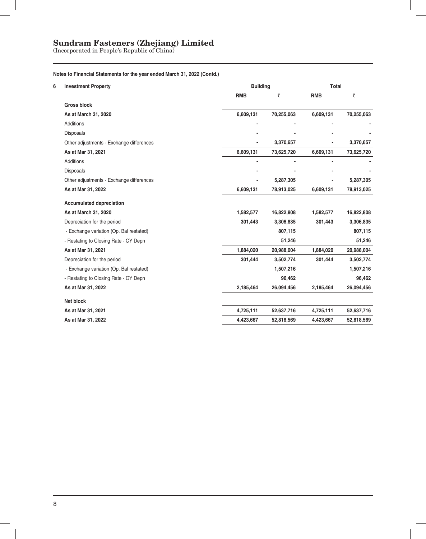(Incorporated in People's Republic of China)

### **Notes to Financial Statements for the year ended March 31, 2022 (Contd.)**

| 6 | <b>Investment Property</b>               | <b>Building</b> |            | Total                    |            |
|---|------------------------------------------|-----------------|------------|--------------------------|------------|
|   |                                          | <b>RMB</b>      | ₹          | <b>RMB</b>               | ₹          |
|   | <b>Gross block</b>                       |                 |            |                          |            |
|   | As at March 31, 2020                     | 6,609,131       | 70,255,063 | 6,609,131                | 70,255,063 |
|   | Additions                                |                 |            |                          |            |
|   | <b>Disposals</b>                         |                 |            |                          |            |
|   | Other adjustments - Exchange differences |                 | 3,370,657  |                          | 3,370,657  |
|   | As at Mar 31, 2021                       | 6,609,131       | 73,625,720 | 6,609,131                | 73,625,720 |
|   | Additions                                | $\blacksquare$  |            | $\overline{\phantom{a}}$ |            |
|   | <b>Disposals</b>                         |                 |            |                          |            |
|   | Other adjustments - Exchange differences |                 | 5,287,305  |                          | 5,287,305  |
|   | As at Mar 31, 2022                       | 6,609,131       | 78,913,025 | 6,609,131                | 78,913,025 |
|   | <b>Accumulated depreciation</b>          |                 |            |                          |            |
|   | As at March 31, 2020                     | 1,582,577       | 16,822,808 | 1,582,577                | 16,822,808 |
|   | Depreciation for the period              | 301,443         | 3,306,835  | 301,443                  | 3,306,835  |
|   | - Exchange variation (Op. Bal restated)  |                 | 807,115    |                          | 807,115    |
|   | - Restating to Closing Rate - CY Depn    |                 | 51,246     |                          | 51,246     |
|   | As at Mar 31, 2021                       | 1,884,020       | 20,988,004 | 1,884,020                | 20,988,004 |
|   | Depreciation for the period              | 301,444         | 3,502,774  | 301,444                  | 3,502,774  |
|   | - Exchange variation (Op. Bal restated)  |                 | 1,507,216  |                          | 1,507,216  |
|   | - Restating to Closing Rate - CY Depn    |                 | 96,462     |                          | 96,462     |
|   | As at Mar 31, 2022                       | 2,185,464       | 26,094,456 | 2,185,464                | 26,094,456 |
|   | <b>Net block</b>                         |                 |            |                          |            |
|   | As at Mar 31, 2021                       | 4,725,111       | 52,637,716 | 4,725,111                | 52,637,716 |
|   | As at Mar 31, 2022                       | 4,423,667       | 52,818,569 | 4,423,667                | 52,818,569 |
|   |                                          |                 |            |                          |            |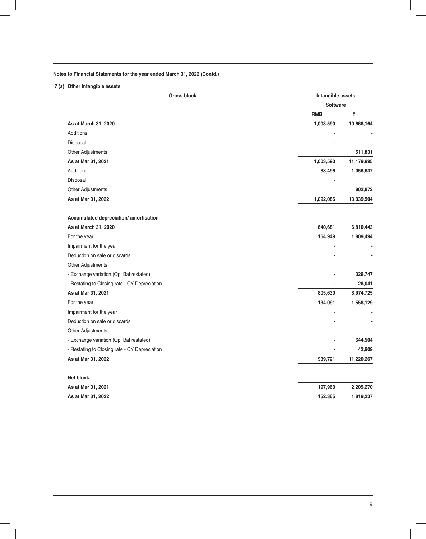### **7 (a) Other Intangible assets**

|                                               | <b>Gross block</b><br>Intangible assets |            |
|-----------------------------------------------|-----------------------------------------|------------|
|                                               | <b>Software</b>                         |            |
|                                               | <b>RMB</b>                              | ₹          |
| As at March 31, 2020                          | 1,003,590                               | 10,668,164 |
| Additions                                     |                                         |            |
| Disposal                                      |                                         |            |
| Other Adjustments                             |                                         | 511,831    |
| As at Mar 31, 2021                            | 1,003,590                               | 11,179,995 |
| Additions                                     | 88,496                                  | 1,056,637  |
| Disposal                                      |                                         |            |
| Other Adjustments                             |                                         | 802,872    |
| As at Mar 31, 2022                            | 1,092,086                               | 13,039,504 |
| Accumulated depreciation/ amortisation        |                                         |            |
| As at March 31, 2020                          | 640,681                                 | 6,810,443  |
| For the year                                  | 164,949                                 | 1,809,494  |
| Impairment for the year                       |                                         |            |
| Deduction on sale or discards                 |                                         |            |
| Other Adjustments                             |                                         |            |
| - Exchange variation (Op. Bal restated)       |                                         | 326,747    |
| - Restating to Closing rate - CY Depreciation |                                         | 28,041     |
| As at Mar 31, 2021                            | 805,630                                 | 8,974,725  |
| For the year                                  | 134,091                                 | 1,558,129  |
| Impairment for the year                       |                                         |            |
| Deduction on sale or discards                 |                                         |            |
| Other Adjustments                             |                                         |            |
| - Exchange variation (Op. Bal restated)       |                                         | 644,504    |
| - Restating to Closing rate - CY Depreciation |                                         | 42,909     |
| As at Mar 31, 2022                            | 939,721                                 | 11,220,267 |
| Net block                                     |                                         |            |
| As at Mar 31, 2021                            | 197,960                                 | 2,205,270  |
| As at Mar 31, 2022                            | 152,365                                 | 1,819,237  |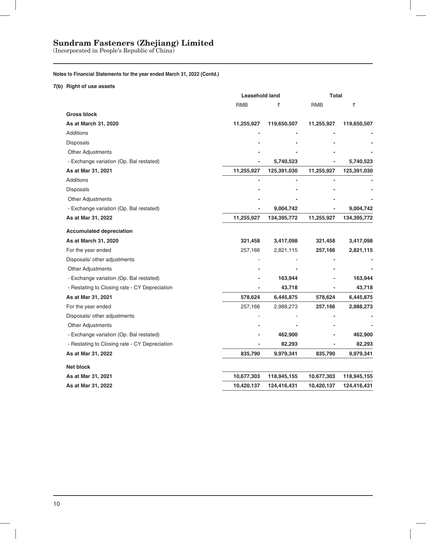(Incorporated in People's Republic of China)

### **Notes to Financial Statements for the year ended March 31, 2022 (Contd.)**

**7(b) Right of use assets**

|                                               | Leasehold land |             | Total      |             |
|-----------------------------------------------|----------------|-------------|------------|-------------|
|                                               | <b>RMB</b>     | ₹           | <b>RMB</b> | ₹           |
| <b>Gross block</b>                            |                |             |            |             |
| As at March 31, 2020                          | 11,255,927     | 119,650,507 | 11,255,927 | 119,650,507 |
| Additions                                     |                |             |            |             |
| <b>Disposals</b>                              |                |             |            |             |
| Other Adjustments                             |                |             |            |             |
| - Exchange variation (Op. Bal restated)       |                | 5,740,523   |            | 5,740,523   |
| As at Mar 31, 2021                            | 11,255,927     | 125,391,030 | 11,255,927 | 125,391,030 |
| <b>Additions</b>                              |                |             |            |             |
| Disposals                                     |                |             |            |             |
| <b>Other Adjustments</b>                      |                |             |            |             |
| - Exchange variation (Op. Bal restated)       |                | 9,004,742   |            | 9,004,742   |
| As at Mar 31, 2022                            | 11,255,927     | 134,395,772 | 11,255,927 | 134,395,772 |
| <b>Accumulated depreciation</b>               |                |             |            |             |
| As at March 31, 2020                          | 321,458        | 3,417,098   | 321,458    | 3,417,098   |
| For the year ended                            | 257,166        | 2,821,115   | 257,166    | 2,821,115   |
| Disposals/ other adjustments                  |                |             |            |             |
| <b>Other Adjustments</b>                      |                |             |            |             |
| - Exchange variation (Op. Bal restated)       |                | 163,944     |            | 163,944     |
| - Restating to Closing rate - CY Depreciation |                | 43,718      |            | 43,718      |
| As at Mar 31, 2021                            | 578,624        | 6,445,875   | 578,624    | 6,445,875   |
| For the year ended                            | 257,166        | 2,988,273   | 257,166    | 2,988,273   |
| Disposals/ other adjustments                  |                |             |            |             |
| <b>Other Adjustments</b>                      |                |             |            |             |
| - Exchange variation (Op. Bal restated)       |                | 462,900     |            | 462,900     |
| - Restating to Closing rate - CY Depreciation |                | 82,293      |            | 82,293      |
| As at Mar 31, 2022                            | 835,790        | 9,979,341   | 835,790    | 9,979,341   |
| Net block                                     |                |             |            |             |
| As at Mar 31, 2021                            | 10,677,303     | 118,945,155 | 10,677,303 | 118,945,155 |
| As at Mar 31, 2022                            | 10,420,137     | 124,416,431 | 10,420,137 | 124,416,431 |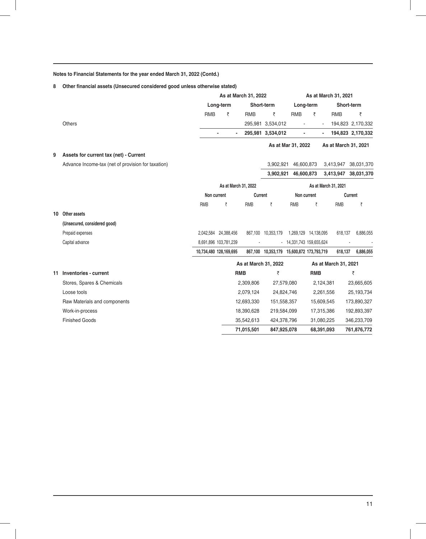### 8 Other financial assets (Unsecured considered good unless otherwise stated)

|    |                                                    | As at March 31, 2021<br>As at March 31, 2022 |                        |                      |                                           |                          |                          |                      |                      |
|----|----------------------------------------------------|----------------------------------------------|------------------------|----------------------|-------------------------------------------|--------------------------|--------------------------|----------------------|----------------------|
|    |                                                    |                                              | Long-term              |                      | Short-term                                | Long-term                |                          |                      | Short-term           |
|    |                                                    | <b>RMB</b>                                   | ₹                      | <b>RMB</b>           | ₹                                         | <b>RMB</b>               | ₹                        | <b>RMB</b>           | ₹                    |
|    | <b>Others</b>                                      |                                              |                        |                      | 295,981 3,534,012                         | $\blacksquare$           | $\overline{\phantom{a}}$ |                      | 194,823 2,170,332    |
|    |                                                    |                                              | $\blacksquare$         | $\overline{a}$       | 295,981 3,534,012                         | -                        |                          |                      | 194,823 2,170,332    |
|    |                                                    |                                              |                        |                      |                                           | As at Mar 31, 2022       |                          |                      | As at March 31, 2021 |
| 9  | Assets for current tax (net) - Current             |                                              |                        |                      |                                           |                          |                          |                      |                      |
|    | Advance Income-tax (net of provision for taxation) |                                              |                        |                      | 3.902.921                                 | 46,600,873               |                          |                      | 3,413,947 38,031,370 |
|    |                                                    |                                              |                        |                      | 3,902,921                                 | 46,600,873               |                          | 3,413,947            | 38,031,370           |
|    |                                                    |                                              |                        | As at March 31, 2022 |                                           |                          |                          | As at March 31, 2021 |                      |
|    |                                                    | Non current                                  |                        | Current              |                                           | Non current              |                          |                      | Current              |
|    |                                                    | <b>RMB</b>                                   | ₹                      | <b>RMB</b>           | ₹                                         | <b>RMB</b>               | ₹                        | <b>RMB</b>           | ₹                    |
| 10 | Other assets                                       |                                              |                        |                      |                                           |                          |                          |                      |                      |
|    | (Unsecured, considered good)                       |                                              |                        |                      |                                           |                          |                          |                      |                      |
|    | Prepaid expenses                                   |                                              | 2,042,584 24,388,456   |                      | 867,100 10,353,179                        |                          | 1,269,129 14,138,095     | 618,137              | 6,886,055            |
|    | Capital advance                                    |                                              | 8,691,896 103,781,239  |                      |                                           | - 14,331,743 159,655,624 |                          |                      |                      |
|    |                                                    |                                              | 10,734,480 128,169,695 |                      | 867,100 10,353,179 15,600,872 173,793,719 |                          |                          | 618,137              | 6,886,055            |
|    |                                                    |                                              |                        | As at March 31, 2022 |                                           |                          |                          | As at March 31, 2021 |                      |
| 11 | Inventories - current                              |                                              |                        | <b>RMB</b>           | ₹                                         |                          | <b>RMB</b>               |                      | ₹                    |
|    | Stores, Spares & Chemicals                         |                                              |                        | 2,309,806            | 27,579,080                                |                          | 2,124,381                |                      | 23,665,605           |
|    | Loose tools                                        |                                              |                        | 2,079,124            | 24,824,746                                |                          | 2,261,556                |                      | 25,193,734           |
|    | Raw Materials and components                       |                                              |                        | 12,693,330           | 151,558,357                               |                          | 15,609,545               |                      | 173,890,327          |
|    | Work-in-process                                    |                                              |                        | 18,390,628           | 219,584,099                               |                          | 17,315,386               |                      | 192,893,397          |
|    | <b>Finished Goods</b>                              |                                              |                        | 35,542,613           | 424,378,796                               |                          | 31,080,225               |                      | 346,233,709          |
|    |                                                    |                                              |                        | 71,015,501           | 847,925,078                               |                          | 68,391,093               |                      | 761,876,772          |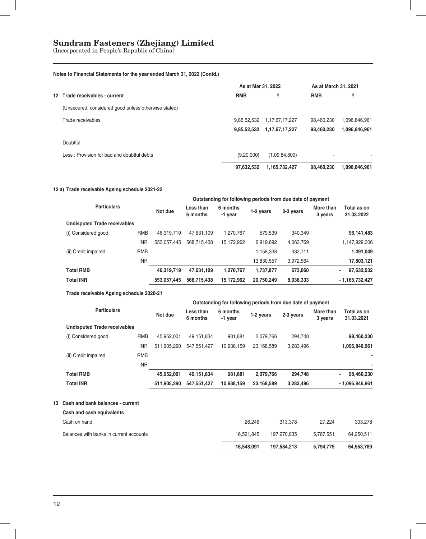(Incorporated in People's Republic of China)

### **Notes to Financial Statements for the year ended March 31, 2022 (Contd.)**

|                                                      |             | As at Mar 31, 2022 |            |               |
|------------------------------------------------------|-------------|--------------------|------------|---------------|
| 12 Trade receivables - current                       | <b>RMB</b>  |                    | <b>RMB</b> | ₹             |
| (Unsecured, considered good unless otherwise stated) |             |                    |            |               |
| Trade receivables                                    | 9.85.52.532 | 1,17,67,17,227     | 98.460.230 | 1.096.846.961 |
|                                                      | 9,85,52,532 | 1,17,67,17,227     | 98,460,230 | 1,096,846,961 |
| Doubtful                                             |             |                    |            |               |
| Less: Provision for bad and doubtful debts           | (9,20,000)  | (1,09,84,800)      | ۰          |               |
|                                                      | 97,632,532  | 1,165,732,427      | 98.460.230 | 1,096,846,961 |

### **12 a) Trade receivable Ageing schedule 2021-22**

|                                     |            | Outstanding for following periods from due date of payment |                       |                     |            |           |                      |                           |  |  |
|-------------------------------------|------------|------------------------------------------------------------|-----------------------|---------------------|------------|-----------|----------------------|---------------------------|--|--|
| <b>Particulars</b>                  |            | Not due                                                    | Less than<br>6 months | 6 months<br>-1 year | 1-2 years  | 2-3 years | More than<br>3 years | Total as on<br>31.03.2022 |  |  |
| <b>Undisputed Trade receivables</b> |            |                                                            |                       |                     |            |           |                      |                           |  |  |
| (i) Considered good                 | <b>RMB</b> | 46.319.719                                                 | 47.631.109            | 1,270,767           | 579.539    | 340.349   |                      | 96,141,483                |  |  |
|                                     | <b>INR</b> | 553,057,445                                                | 568.715.438           | 15,172,962          | 6,919,692  | 4,063,769 |                      | 1,147,929,306             |  |  |
| (ii) Credit impaired                | <b>RMB</b> |                                                            |                       |                     | 1,158,338  | 332,711   |                      | 1,491,049                 |  |  |
|                                     | <b>INR</b> |                                                            |                       |                     | 13,830,557 | 3,972,564 |                      | 17,803,121                |  |  |
| <b>Total RMB</b>                    |            | 46,319,719                                                 | 47,631,109            | 1,270,767           | 1,737,877  | 673,060   |                      | 97,632,532<br>٠           |  |  |
| <b>Total INR</b>                    |            | 553.057.445                                                | 568.715.438           | 15,172,962          | 20,750,249 | 8,036,333 |                      | $-1,165,732,427$          |  |  |

### **Trade receivable Ageing schedule 2020-21**

|                                     |            | Outstanding for following periods from due date of payment |                       |                     |            |           |                      |                           |  |  |
|-------------------------------------|------------|------------------------------------------------------------|-----------------------|---------------------|------------|-----------|----------------------|---------------------------|--|--|
| <b>Particulars</b>                  |            | Not due                                                    | Less than<br>6 months | 6 months<br>-1 year | 1-2 years  | 2-3 years | More than<br>3 years | Total as on<br>31.03.2021 |  |  |
| <b>Undisputed Trade receivables</b> |            |                                                            |                       |                     |            |           |                      |                           |  |  |
| (i) Considered good                 | <b>RMB</b> | 45.952.001                                                 | 49.151.834            | 981.881             | 2.079.766  | 294.748   |                      | 98,460,230                |  |  |
|                                     | <b>INR</b> | 511.905.290                                                | 547.551.427           | 10.938.159          | 23,168,589 | 3,283,496 |                      | 1,096,846,961             |  |  |
| (ii) Credit impaired                | <b>RMB</b> |                                                            |                       |                     |            |           |                      |                           |  |  |
|                                     | <b>INR</b> |                                                            |                       |                     |            |           |                      |                           |  |  |
| <b>Total RMB</b>                    |            | 45,952,001                                                 | 49,151,834            | 981,881             | 2,079,766  | 294,748   |                      | 98,460,230<br>٠           |  |  |
| <b>Total INR</b>                    |            | 511,905,290                                                | 547,551,427           | 10,938,159          | 23,168,589 | 3,283,496 |                      | $-1,096,846,961$          |  |  |

### **13 Cash and bank balances - current**

|                                         | 16,548,091 | 197.584.213 | 5.794.775 | 64,553,789 |
|-----------------------------------------|------------|-------------|-----------|------------|
| Balances with banks in current accounts | 16.521.845 | 197.270.835 | 5.767.551 | 64.250.511 |
| Cash on hand                            | 26.246     | 313,378     | 27.224    | 303.278    |
| Cash and cash equivalents               |            |             |           |            |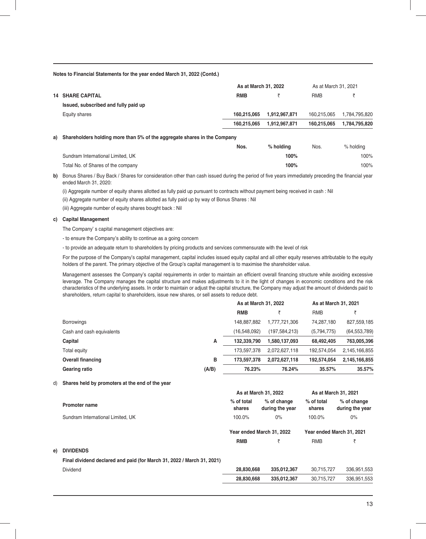| <b>RMB</b>                   |
|------------------------------|
|                              |
| 1,784,795,820<br>160.215.065 |
| 1,784,795,820<br>160.215.065 |
|                              |

**a) Shareholders holding more than 5% of the aggregate shares in the Company**

|                                    | Nos. | $%$ holding | Nos. | % holding |
|------------------------------------|------|-------------|------|-----------|
| Sundram International Limited, UK  |      | 100%        |      | 100%      |
| Total No. of Shares of the company |      | 100%        |      | 100%      |

**b)** Bonus Shares / Buy Back / Shares for consideration other than cash issued during the period of five years immediately preceding the financial year ended March 31, 2020:

(i) Aggregate number of equity shares allotted as fully paid up pursuant to contracts without payment being received in cash : Nil

(ii) Aggregate number of equity shares allotted as fully paid up by way of Bonus Shares : Nil

(iii) Aggregate number of equity shares bought back : Nil

#### **c) Capital Management**

The Company' s capital management objectives are:

- to ensure the Company's ability to continue as a going concern

- to provide an adequate return to shareholders by pricing products and services commensurate with the level of risk

For the purpose of the Company's capital management, capital includes issued equity capital and all other equity reserves attributable to the equity holders of the parent. The primary objective of the Group's capital management is to maximise the shareholder value.

Management assesses the Company's capital requirements in order to maintain an efficient overall financing structure while avoiding excessive leverage. The Company manages the capital structure and makes adjustments to it in the light of changes in economic conditions and the risk characteristics of the underlying assets. In order to maintain or adjust the capital structure, the Company may adjust the amount of dividends paid to shareholders, return capital to shareholders, issue new shares, or sell assets to reduce debt.

|                           |       | As at March 31, 2022 |               | As at March 31, 2021 |                |
|---------------------------|-------|----------------------|---------------|----------------------|----------------|
|                           |       | <b>RMB</b>           |               | <b>RMB</b>           |                |
| <b>Borrowings</b>         |       | 148.887.882          | 1,777,721,306 | 74.287.180           | 827,559,185    |
| Cash and cash equivalents |       | (16,548,092)         | (197,584,213) | (5,794,775)          | (64, 553, 789) |
| Capital                   | Α     | 132.339.790          | 1.580.137.093 | 68.492.405           | 763.005.396    |
| Total equity              |       | 173.597.378          | 2,072,627,118 | 192.574.054          | 2.145.166.855  |
| <b>Overall financing</b>  | в     | 173.597.378          | 2.072.627.118 | 192.574.054          | 2,145,166,855  |
| Gearing ratio             | (A/B) | 76.23%               | 76.24%        | 35.57%               | 35.57%         |

#### d) **Shares held by promoters at the end of the year**

**e**)

|                                                                        |                           | As at March 31, 2022           | As at March 31, 2021      |                                |  |
|------------------------------------------------------------------------|---------------------------|--------------------------------|---------------------------|--------------------------------|--|
| <b>Promoter name</b>                                                   | % of total<br>shares      | % of change<br>during the year | % of total<br>shares      | % of change<br>during the year |  |
| Sundram International Limited, UK                                      | 100.0%                    | $0\%$                          | 100.0%                    | $0\%$                          |  |
|                                                                        | Year ended March 31, 2022 |                                | Year ended March 31, 2021 |                                |  |
|                                                                        | <b>RMB</b>                |                                | <b>RMB</b>                | ₹                              |  |
| <b>DIVIDENDS</b>                                                       |                           |                                |                           |                                |  |
| Final dividend declared and paid (for March 31, 2022 / March 31, 2021) |                           |                                |                           |                                |  |
| Dividend                                                               | 28.830.668                | 335,012,367                    | 30.715.727                | 336,951,553                    |  |
|                                                                        | 28,830,668                | 335.012.367                    | 30.715.727                | 336.951.553                    |  |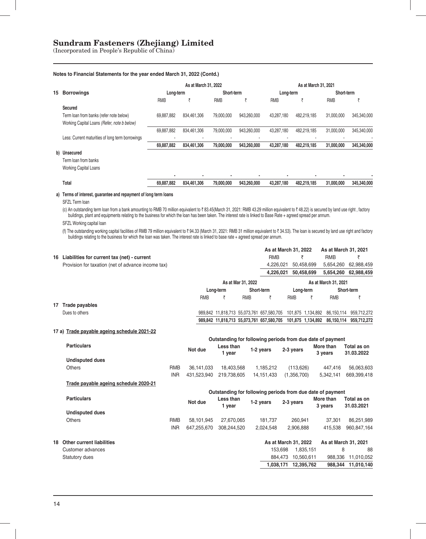(Incorporated in People's Republic of China)

#### **Notes to Financial Statements for the year ended March 31, 2022 (Contd.)**

|    |                                                  |            | As at March 31, 2022 |            | As at March 31, 2021 |            |             |            |             |
|----|--------------------------------------------------|------------|----------------------|------------|----------------------|------------|-------------|------------|-------------|
| 15 | <b>Borrowings</b>                                |            | Long-term            |            | Short-term           | Long-term  |             | Short-term |             |
|    |                                                  | <b>RMB</b> |                      | <b>RMB</b> |                      | <b>RMB</b> |             | <b>RMB</b> |             |
|    | Secured                                          |            |                      |            |                      |            |             |            |             |
|    | Term loan from banks (refer note below)          | 69,887,882 | 834,461,306          | 79.000.000 | 943.260.000          | 43.287.180 | 482.219.185 | 31.000.000 | 345,340,000 |
|    | Working Capital Loans (Refer, note b below)      |            |                      |            |                      |            |             |            |             |
|    |                                                  | 69,887,882 | 834.461.306          | 79,000,000 | 943,260,000          | 43.287.180 | 482,219,185 | 31,000,000 | 345,340,000 |
|    | Less: Current maturities of long term borrowings | ٠          |                      |            | ٠                    |            |             |            |             |
|    |                                                  | 69,887,882 | 834.461.306          | 79.000.000 | 943.260.000          | 43.287.180 | 482.219.185 | 31.000.000 | 345.340.000 |
|    | b) Unsecured                                     |            |                      |            |                      |            |             |            |             |
|    | Term loan from banks                             |            |                      |            |                      |            |             |            |             |
|    | Working Capital Loans                            |            |                      |            |                      |            |             |            |             |
|    |                                                  | ٠          |                      |            |                      |            | ٠           |            |             |
|    | Total                                            | 69.887.882 | 834.461.306          | 79.000.000 | 943.260.000          | 43.287.180 | 482.219.185 | 31.000.000 | 345,340,000 |

#### **a) Terms of interest, guarantee and repayment of long term loans**

SFZL Term loan

(c) An outstanding term loan from a bank amounting to RMB 70 million equivalent to ₹83.45(March 31, 2021: RMB 43.29 million equivalent to ₹48.22) is secured by land use right , factory buildings, plant and equipments relating to the business for which the loan has been taken. The interest rate is linked to Base Rate + agreed spread per annum.

SFZL Working capital loan

(f) The outstanding working capital facilities of RMB 79 million equivalent to ₹ 94.33 (March 31, 2021: RMB 31 million equivalent to ₹ 34.53). The loan is secured by land use right and factory buildings relating to the business for which the loan was taken. The interest rate is linked to base rate + agreed spread per annum.

|    |                                                    |            |                                                                         |             |                    | As at March 31, 2022                                        |                      |            | As at March 31, 2021                                       |                        |
|----|----------------------------------------------------|------------|-------------------------------------------------------------------------|-------------|--------------------|-------------------------------------------------------------|----------------------|------------|------------------------------------------------------------|------------------------|
|    | 16 Liabilities for current tax (net) - current     |            |                                                                         |             |                    | <b>RMB</b>                                                  | ₹                    |            | <b>RMB</b>                                                 | ₹                      |
|    | Provision for taxation (net of advance income tax) |            |                                                                         |             |                    | 4,226,021                                                   |                      | 50,458,699 | 5,654,260                                                  | 62,988,459             |
|    |                                                    |            |                                                                         |             |                    | 4,226,021                                                   |                      | 50.458.699 | 5,654,260                                                  | 62,988,459             |
|    |                                                    |            |                                                                         |             | As at Mar 31, 2022 |                                                             |                      |            | As at March 31, 2021                                       |                        |
|    |                                                    |            |                                                                         | Long-term   | Short-term         |                                                             | Long-term            |            |                                                            | Short-term             |
|    |                                                    |            | <b>RMB</b>                                                              | ₹           | <b>RMB</b>         | ₹                                                           | <b>RMB</b>           | ₹          | <b>RMB</b>                                                 | ₹                      |
|    | 17 Trade payables                                  |            |                                                                         |             |                    |                                                             |                      |            |                                                            |                        |
|    | Dues to others                                     |            |                                                                         |             |                    | 989,842 11,818,713 55,073,761 657,580,705 101,875 1,134,892 |                      |            |                                                            | 86,150,114 959,712,272 |
|    |                                                    |            |                                                                         |             |                    | 989,842 11,818,713 55,073,761 657,580,705 101,875 1,134,892 |                      |            | 86.150.114                                                 | 959,712,272            |
|    | 17 a) Trade payable ageing schedule 2021-22        |            |                                                                         |             |                    |                                                             |                      |            |                                                            |                        |
|    |                                                    |            |                                                                         |             |                    |                                                             |                      |            |                                                            |                        |
|    | <b>Particulars</b>                                 |            | Outstanding for following periods from due date of payment<br>Less than |             |                    |                                                             |                      | More than  | Total as on                                                |                        |
|    |                                                    |            | Not due                                                                 | 1 year      |                    | 1-2 years                                                   | 2-3 years            |            | 3 years                                                    | 31.03.2022             |
|    | <b>Undisputed dues</b>                             |            |                                                                         |             |                    |                                                             |                      |            |                                                            |                        |
|    | <b>Others</b>                                      | <b>RMB</b> | 36,141,033                                                              | 18,403,568  |                    | 1,185,212                                                   | (113, 626)           |            | 447,416                                                    | 56,063,603             |
|    |                                                    | <b>INR</b> | 431.523.940                                                             | 219,738,605 |                    | 14, 151, 433                                                | (1,356,700)          |            | 5,342,141                                                  | 669,399,418            |
|    | Trade payable ageing schedule 2020-21              |            |                                                                         |             |                    |                                                             |                      |            |                                                            |                        |
|    |                                                    |            |                                                                         |             |                    |                                                             |                      |            | Outstanding for following periods from due date of payment |                        |
|    | <b>Particulars</b>                                 |            | Not due                                                                 | Less than   |                    | 1-2 years                                                   | 2-3 years            |            | More than                                                  | Total as on            |
|    |                                                    |            |                                                                         | 1 year      |                    |                                                             |                      |            | 3 years                                                    | 31.03.2021             |
|    | <b>Undisputed dues</b>                             |            |                                                                         |             |                    |                                                             |                      |            |                                                            |                        |
|    | <b>Others</b>                                      | <b>RMB</b> | 58,101,945                                                              | 27,670,065  |                    | 181,737                                                     | 260,941              |            | 37,301                                                     | 86,251,989             |
|    |                                                    | <b>INR</b> | 647,255,670                                                             | 308,244,520 |                    | 2,024,548                                                   | 2,906,888            |            | 415,538                                                    | 960,847,164            |
| 18 | <b>Other current liabilities</b>                   |            |                                                                         |             |                    | As at March 31, 2022                                        |                      |            | As at March 31, 2021                                       |                        |
|    | Customer advances                                  |            |                                                                         |             |                    | 153,698                                                     |                      | 1,835,151  | 8                                                          | 88                     |
|    | Statutory dues                                     |            |                                                                         |             |                    | 884.473                                                     |                      | 10,560,611 | 988.336                                                    | 11,010,052             |
|    |                                                    |            |                                                                         |             |                    |                                                             | 1,038,171 12,395,762 |            |                                                            | 988,344 11,010,140     |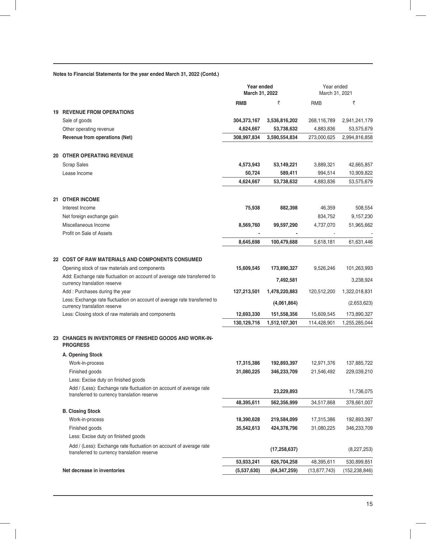| Notes to Financial Statements for the year ended March 31, 2022 (Contd.) |  |  |  |  |  |  |  |  |  |
|--------------------------------------------------------------------------|--|--|--|--|--|--|--|--|--|
|--------------------------------------------------------------------------|--|--|--|--|--|--|--|--|--|

|                                                                                                                   | Year ended<br>March 31, 2022 |                | Year ended<br>March 31, 2021 |                 |  |
|-------------------------------------------------------------------------------------------------------------------|------------------------------|----------------|------------------------------|-----------------|--|
|                                                                                                                   | <b>RMB</b>                   | ₹              | <b>RMB</b>                   | ₹               |  |
| <b>19 REVENUE FROM OPERATIONS</b>                                                                                 |                              |                |                              |                 |  |
| Sale of goods                                                                                                     | 304,373,167                  | 3,536,816,202  | 268,116,789                  | 2,941,241,179   |  |
| Other operating revenue                                                                                           | 4,624,667                    | 53,738,632     | 4,883,836                    | 53,575,679      |  |
| Revenue from operations (Net)                                                                                     | 308,997,834                  | 3,590,554,834  | 273,000,625                  | 2,994,816,858   |  |
| <b>20 OTHER OPERATING REVENUE</b>                                                                                 |                              |                |                              |                 |  |
| <b>Scrap Sales</b>                                                                                                | 4,573,943                    | 53,149,221     | 3,889,321                    | 42,665,857      |  |
| Lease Income                                                                                                      | 50,724                       | 589,411        | 994,514                      | 10,909,822      |  |
|                                                                                                                   | 4,624,667                    | 53,738,632     | 4,883,836                    | 53,575,679      |  |
| 21 OTHER INCOME                                                                                                   |                              |                |                              |                 |  |
| Interest Income                                                                                                   | 75,938                       | 882,398        | 46,359                       | 508,554         |  |
| Net foreign exchange gain                                                                                         |                              |                | 834,752                      | 9,157,230       |  |
| Miscellaneous Income<br>Profit on Sale of Assets                                                                  | 8,569,760                    | 99,597,290     | 4,737,070                    | 51,965,662      |  |
|                                                                                                                   | 8,645,698                    | 100,479,688    | 5,618,181                    | 61,631,446      |  |
| 22 COST OF RAW MATERIALS AND COMPONENTS CONSUMED                                                                  |                              |                |                              |                 |  |
| Opening stock of raw materials and components                                                                     | 15,609,545                   | 173,890,327    | 9,526,246                    | 101,263,993     |  |
| Add: Exchange rate fluctuation on account of average rate transferred to<br>currency translation reserve          |                              | 7,492,581      |                              | 3,238,924       |  |
| Add: Purchases during the year                                                                                    | 127,213,501                  | 1,478,220,883  | 120,512,200                  | 1,322,018,831   |  |
| Less: Exchange rate fluctuation on account of average rate transferred to<br>currency translation reserve         |                              | (4,061,864)    |                              | (2,653,623)     |  |
| Less: Closing stock of raw materials and components                                                               | 12,693,330                   | 151,558,356    | 15,609,545                   | 173,890,327     |  |
|                                                                                                                   | 130,129,716                  | 1,512,107,301  | 114,428,901                  | 1,255,285,044   |  |
| 23 CHANGES IN INVENTORIES OF FINISHED GOODS AND WORK-IN-<br><b>PROGRESS</b>                                       |                              |                |                              |                 |  |
| A. Opening Stock                                                                                                  |                              |                |                              |                 |  |
| Work-in-process                                                                                                   | 17,315,386                   | 192,893,397    | 12,971,376                   | 137,885,722     |  |
| Finished goods                                                                                                    | 31,080,225                   | 346,233,709    | 21,546,492                   | 229,039,210     |  |
| Less: Excise duty on finished goods                                                                               |                              |                |                              |                 |  |
| Add / (Less): Exchange rate fluctuation on account of average rate<br>transferred to currency translation reserve |                              | 23,229,893     |                              | 11,736,075      |  |
|                                                                                                                   | 48,395,611                   | 562,356,999    | 34,517,868                   | 378,661,007     |  |
| <b>B. Closing Stock</b>                                                                                           |                              |                |                              |                 |  |
| Work-in-process                                                                                                   | 18,390,628                   | 219,584,099    | 17,315,386                   | 192,893,397     |  |
| Finished goods                                                                                                    | 35,542,613                   | 424,378,796    | 31,080,225                   | 346,233,709     |  |
| Less: Excise duty on finished goods                                                                               |                              |                |                              |                 |  |
| Add / (Less): Exchange rate fluctuation on account of average rate<br>transferred to currency translation reserve |                              | (17, 258, 637) |                              | (8,227,253)     |  |
|                                                                                                                   | 53,933,241                   | 626,704,258    | 48,395,611                   | 530,899,851     |  |
| Net decrease in inventories                                                                                       | (5,537,630)                  | (64, 347, 259) | (13,877,743)                 | (152, 238, 846) |  |
|                                                                                                                   |                              |                |                              |                 |  |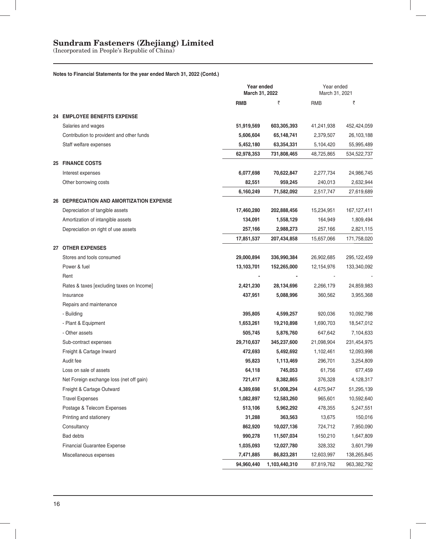(Incorporated in People's Republic of China)

### **Notes to Financial Statements for the year ended March 31, 2022 (Contd.)**

|      |                                           | Year ended<br>March 31, 2022 | Year ended<br>March 31, 2021 |            |               |
|------|-------------------------------------------|------------------------------|------------------------------|------------|---------------|
|      |                                           | <b>RMB</b>                   | ₹                            | <b>RMB</b> | ₹             |
|      | 24 EMPLOYEE BENEFITS EXPENSE              |                              |                              |            |               |
|      | Salaries and wages                        | 51,919,569                   | 603,305,393                  | 41,241,938 | 452,424,059   |
|      | Contribution to provident and other funds | 5,606,604                    | 65,148,741                   | 2,379,507  | 26,103,188    |
|      | Staff welfare expenses                    | 5,452,180                    | 63,354,331                   | 5,104,420  | 55,995,489    |
|      |                                           | 62,978,353                   | 731,808,465                  | 48,725,865 | 534,522,737   |
|      | <b>25 FINANCE COSTS</b>                   |                              |                              |            |               |
|      | Interest expenses                         | 6,077,698                    | 70,622,847                   | 2,277,734  | 24,986,745    |
|      | Other borrowing costs                     | 82,551                       | 959,245                      | 240,013    | 2,632,944     |
|      |                                           | 6,160,249                    | 71,582,092                   | 2,517,747  | 27,619,689    |
|      | 26 DEPRECIATION AND AMORTIZATION EXPENSE  |                              |                              |            |               |
|      | Depreciation of tangible assets           | 17,460,280                   | 202,888,456                  | 15,234,951 | 167, 127, 411 |
|      | Amortization of intangible assets         | 134,091                      | 1,558,129                    | 164,949    | 1,809,494     |
|      | Depreciation on right of use assets       | 257,166                      | 2,988,273                    | 257,166    | 2,821,115     |
|      |                                           | 17,851,537                   | 207,434,858                  | 15,657,066 | 171,758,020   |
|      | 27 OTHER EXPENSES                         |                              |                              |            |               |
|      | Stores and tools consumed                 | 29,000,894                   | 336,990,384                  | 26,902,685 | 295,122,459   |
|      | Power & fuel                              | 13,103,701                   | 152,265,000                  | 12,154,976 | 133,340,092   |
| Rent |                                           |                              |                              |            |               |
|      | Rates & taxes [excluding taxes on Income] | 2,421,230                    | 28,134,696                   | 2,266,179  | 24,859,983    |
|      | Insurance                                 | 437,951                      | 5,088,996                    | 360,562    | 3,955,368     |
|      | Repairs and maintenance                   |                              |                              |            |               |
|      | - Building                                | 395,805                      | 4,599,257                    | 920,036    | 10,092,798    |
|      | - Plant & Equipment                       | 1,653,261                    | 19,210,898                   | 1,690,703  | 18,547,012    |
|      | - Other assets                            | 505,745                      | 5,876,760                    | 647,642    | 7,104,633     |
|      | Sub-contract expenses                     | 29,710,637                   | 345,237,600                  | 21,098,904 | 231,454,975   |
|      | Freight & Cartage Inward                  | 472,693                      | 5,492,692                    | 1,102,461  | 12,093,998    |
|      | Audit fee                                 | 95,823                       | 1,113,469                    | 296,701    | 3,254,809     |
|      | Loss on sale of assets                    | 64,118                       | 745,053                      | 61,756     | 677,459       |
|      | Net Foreign exchange loss (net off gain)  | 721,417                      | 8,382,865                    | 376,328    | 4,128,317     |
|      | Freight & Cartage Outward                 | 4,389,698                    | 51,008,294                   | 4,675,947  | 51,295,139    |
|      | <b>Travel Expenses</b>                    | 1,082,897                    | 12,583,260                   | 965,601    | 10,592,640    |
|      | Postage & Telecom Expenses                | 513,106                      | 5,962,292                    | 478,355    | 5,247,551     |
|      | Printing and stationery                   | 31,288                       | 363,563                      | 13,675     | 150,016       |
|      | Consultancy                               | 862,920                      | 10,027,136                   | 724,712    | 7,950,090     |
|      | <b>Bad debts</b>                          | 990,278                      | 11,507,034                   | 150,210    | 1,647,809     |
|      | <b>Financial Guarantee Expense</b>        | 1,035,093                    | 12,027,780                   | 328,332    | 3,601,799     |
|      | Miscellaneous expenses                    | 7,471,885                    | 86,823,281                   | 12,603,997 | 138,265,845   |
|      |                                           | 94,960,440                   | 1,103,440,310                | 87,819,762 | 963,382,792   |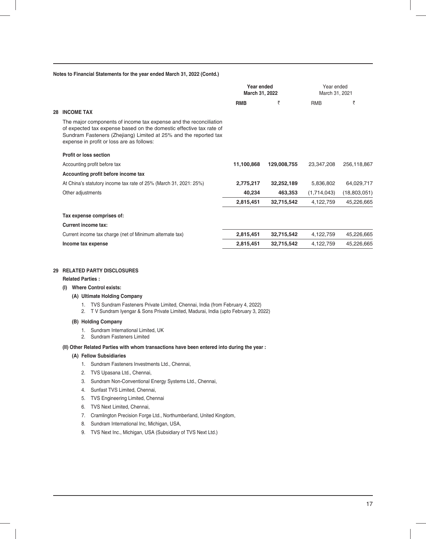|    |                                                                                                                                                                                                                                                           | Year ended<br>March 31, 2022 |             | Year ended<br>March 31, 2021 |              |  |
|----|-----------------------------------------------------------------------------------------------------------------------------------------------------------------------------------------------------------------------------------------------------------|------------------------------|-------------|------------------------------|--------------|--|
|    |                                                                                                                                                                                                                                                           | <b>RMB</b>                   | ₹           | <b>RMB</b>                   | ₹            |  |
| 28 | <b>INCOME TAX</b>                                                                                                                                                                                                                                         |                              |             |                              |              |  |
|    | The major components of income tax expense and the reconciliation<br>of expected tax expense based on the domestic effective tax rate of<br>Sundram Fasteners (Zhejiang) Limited at 25% and the reported tax<br>expense in profit or loss are as follows: |                              |             |                              |              |  |
|    | Profit or loss section                                                                                                                                                                                                                                    |                              |             |                              |              |  |
|    | Accounting profit before tax                                                                                                                                                                                                                              | 11,100,868                   | 129,008,755 | 23,347,208                   | 256,118,867  |  |
|    | Accounting profit before income tax                                                                                                                                                                                                                       |                              |             |                              |              |  |
|    | At China's statutory income tax rate of 25% (March 31, 2021: 25%)                                                                                                                                                                                         | 2,775,217                    | 32,252,189  | 5,836,802                    | 64,029,717   |  |
|    | Other adjustments                                                                                                                                                                                                                                         | 40,234                       | 463,353     | (1,714,043)                  | (18,803,051) |  |
|    |                                                                                                                                                                                                                                                           | 2,815,451                    | 32,715,542  | 4,122,759                    | 45,226,665   |  |
|    | Tax expense comprises of:                                                                                                                                                                                                                                 |                              |             |                              |              |  |
|    | Current income tax:                                                                                                                                                                                                                                       |                              |             |                              |              |  |
|    | Current income tax charge (net of Minimum alternate tax)                                                                                                                                                                                                  | 2,815,451                    | 32,715,542  | 4,122,759                    | 45,226,665   |  |
|    | Income tax expense                                                                                                                                                                                                                                        | 2,815,451                    | 32,715,542  | 4,122,759                    | 45,226,665   |  |
|    |                                                                                                                                                                                                                                                           |                              |             |                              |              |  |

#### **29 RELATED PARTY DISCLOSURES**

#### **Related Parties :**

#### **(I) Where Control exists:**

#### **(A) Ultimate Holding Company**

- 1. TVS Sundram Fasteners Private Limited, Chennai, India (from February 4, 2022)
- 2. T V Sundram Iyengar & Sons Private Limited, Madurai, India (upto February 3, 2022)

#### **(B) Holding Company**

- 1. Sundram International Limited, UK
- 2. Sundram Fasteners Limited

### **(II) Other Related Parties with whom transactions have been entered into during the year :**

#### **(A) Fellow Subsidiaries**

- 1. Sundram Fasteners Investments Ltd., Chennai,
- 2. TVS Upasana Ltd., Chennai,
- 3. Sundram Non-Conventional Energy Systems Ltd., Chennai,
- 4. Sunfast TVS Limited, Chennai,
- 5. TVS Engineering Limited, Chennai
- 6. TVS Next Limited, Chennai,
- 7. Cramlington Precision Forge Ltd., Northumberland, United Kingdom,
- 8. Sundram International Inc, Michigan, USA,
- 9. TVS Next Inc., Michigan, USA (Subsidiary of TVS Next Ltd.)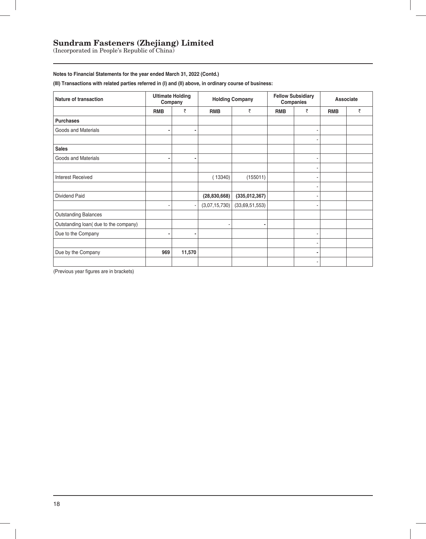(Incorporated in People's Republic of China)

### **Notes to Financial Statements for the year ended March 31, 2022 (Contd.)**

**(III) Transactions with related parties referred in (I) and (II) above, in ordinary course of business:**

| <b>Nature of transaction</b>          |            | <b>Ultimate Holding</b><br>Company |                | <b>Holding Company</b> |            | <b>Fellow Subsidiary</b><br>Companies | Associate  |   |  |
|---------------------------------------|------------|------------------------------------|----------------|------------------------|------------|---------------------------------------|------------|---|--|
|                                       | <b>RMB</b> | ₹                                  | <b>RMB</b>     | ₹                      | <b>RMB</b> | ₹                                     | <b>RMB</b> | ₹ |  |
| <b>Purchases</b>                      |            |                                    |                |                        |            |                                       |            |   |  |
| Goods and Materials                   | ۰          | ٠                                  |                |                        |            |                                       |            |   |  |
|                                       |            |                                    |                |                        |            |                                       |            |   |  |
| <b>Sales</b>                          |            |                                    |                |                        |            |                                       |            |   |  |
| Goods and Materials                   |            | ٠                                  |                |                        |            |                                       |            |   |  |
|                                       |            |                                    |                |                        |            |                                       |            |   |  |
| <b>Interest Received</b>              |            |                                    | (13340)        | (155011)               |            |                                       |            |   |  |
|                                       |            |                                    |                |                        |            |                                       |            |   |  |
| Dividend Paid                         |            |                                    | (28, 830, 668) | (335, 012, 367)        |            |                                       |            |   |  |
|                                       |            | ٠                                  | (3,07,15,730)  | (33,69,51,553)         |            |                                       |            |   |  |
| <b>Outstanding Balances</b>           |            |                                    |                |                        |            |                                       |            |   |  |
| Outstanding loan( due to the company) |            |                                    |                | ٠                      |            |                                       |            |   |  |
| Due to the Company                    |            |                                    |                |                        |            |                                       |            |   |  |
|                                       |            |                                    |                |                        |            | ۰                                     |            |   |  |
| Due by the Company                    | 969        | 11,570                             |                |                        |            | ٠                                     |            |   |  |
|                                       |            |                                    |                |                        |            | ٠                                     |            |   |  |

(Previous year figures are in brackets)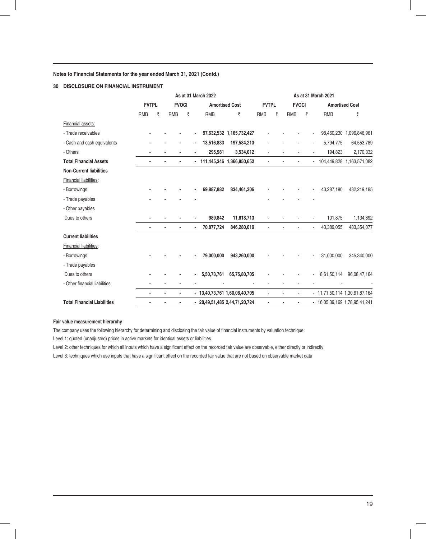### **30 DISCLOSURE ON FINANCIAL INSTRUMENT**

|                                    |            | As at 31 March 2022          |  |                       |   |                |              | As at 31 March 2021           |            |              |  |                       |   |                               |               |
|------------------------------------|------------|------------------------------|--|-----------------------|---|----------------|--------------|-------------------------------|------------|--------------|--|-----------------------|---|-------------------------------|---------------|
|                                    |            | <b>FVTPL</b><br><b>FVOCI</b> |  | <b>Amortised Cost</b> |   |                | <b>FVTPL</b> |                               |            | <b>FVOCI</b> |  | <b>Amortised Cost</b> |   |                               |               |
|                                    | <b>RMB</b> | ₹                            |  | <b>RMB</b>            | ₹ |                | <b>RMB</b>   | ₹                             | <b>RMB</b> | ₹            |  | <b>RMB</b>            | ₹ | <b>RMB</b>                    | ₹             |
| Financial assets:                  |            |                              |  |                       |   |                |              |                               |            |              |  |                       |   |                               |               |
| - Trade receivables                |            |                              |  |                       |   |                |              | 97,632,532 1,165,732,427      |            |              |  |                       |   | 98,460,230                    | 1,096,846,961 |
| - Cash and cash equivalents        |            |                              |  |                       |   |                | 13,516,833   | 197,584,213                   |            |              |  |                       |   | 5,794,775                     | 64,553,789    |
| - Others                           |            |                              |  |                       |   |                | 295,981      | 3,534,012                     |            |              |  |                       |   | 194,823                       | 2,170,332     |
| <b>Total Financial Assets</b>      |            |                              |  |                       |   |                |              | - 111,445,346 1,366,850,652   |            |              |  |                       |   | - 104,449,828 1,163,571,082   |               |
| <b>Non-Current liabilities</b>     |            |                              |  |                       |   |                |              |                               |            |              |  |                       |   |                               |               |
| Financial liabilities:             |            |                              |  |                       |   |                |              |                               |            |              |  |                       |   |                               |               |
| - Borrowings                       |            |                              |  |                       |   |                | 69,887,882   | 834,461,306                   |            |              |  |                       |   | 43,287,180                    | 482,219,185   |
| - Trade payables                   |            |                              |  |                       |   |                |              |                               |            |              |  |                       |   |                               |               |
| - Other payables                   |            |                              |  |                       |   |                |              |                               |            |              |  |                       |   |                               |               |
| Dues to others                     |            |                              |  |                       |   |                | 989,842      | 11,818,713                    |            |              |  |                       |   | 101,875                       | 1,134,892     |
|                                    |            |                              |  |                       |   | $\blacksquare$ | 70,877,724   | 846,280,019                   |            |              |  |                       |   | 43,389,055<br>÷,              | 483,354,077   |
| <b>Current liabilities</b>         |            |                              |  |                       |   |                |              |                               |            |              |  |                       |   |                               |               |
| <b>Financial liabilities:</b>      |            |                              |  |                       |   |                |              |                               |            |              |  |                       |   |                               |               |
| - Borrowings                       |            |                              |  |                       |   |                | 79,000,000   | 943,260,000                   |            |              |  |                       |   | 31,000,000                    | 345,340,000   |
| - Trade payables                   |            |                              |  |                       |   |                |              |                               |            |              |  |                       |   |                               |               |
| Dues to others                     |            |                              |  |                       |   |                | 5,50,73,761  | 65,75,80,705                  |            |              |  |                       |   | 8,61,50,114                   | 96,08,47,164  |
| - Other financial liabilities      |            |                              |  |                       |   |                |              |                               |            |              |  |                       |   |                               |               |
|                                    |            |                              |  |                       |   |                |              | - 13,40,73,761 1,60,08,40,705 |            |              |  |                       |   | - 11,71,50,114 1,30,61,87,164 |               |
| <b>Total Financial Liabilities</b> |            |                              |  |                       |   |                |              | - 20,49,51,485 2,44,71,20,724 |            |              |  |                       |   | - 16,05,39,169 1,78,95,41,241 |               |

#### **Fair value measurement hierarchy**

The company uses the following hierarchy for determining and disclosing the fair value of financial instruments by valuation technique:

Level 1: quoted (unadjusted) prices in active markets for identical assets or liabilities

Level 2: other techniques for which all inputs which have a significant effect on the recorded fair value are observable, either directly or indirectly Level 3: techniques which use inputs that have a significant effect on the recorded fair value that are not based on observable market data